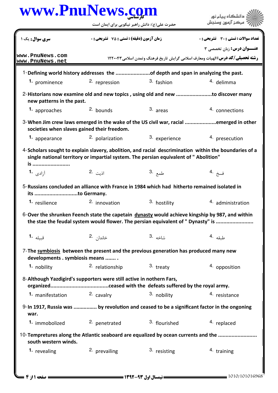| <b>سری سوال :</b> یک ۱                                                                                                  |                                                    |                                                                                                                              | دانشگاه ييام نور                                                                                                                                                                    |  |
|-------------------------------------------------------------------------------------------------------------------------|----------------------------------------------------|------------------------------------------------------------------------------------------------------------------------------|-------------------------------------------------------------------------------------------------------------------------------------------------------------------------------------|--|
|                                                                                                                         | <b>زمان آزمون (دقیقه) : تستی : 75 ٪ تشریحی : 0</b> |                                                                                                                              | <b>تعداد سوالات : تستی : 30 ٪ تشریحی : 0</b>                                                                                                                                        |  |
| www.PnuNews.com<br>www.PnuNews.net                                                                                      |                                                    | <b>عنـــوان درس:</b> زبان تخصصي ۳<br><b>رشته تحصیلی/کد درس: ال</b> هیات ومعارف اسلامی گرایش تاریخ فرهنگ وتمدن اسلامی ۱۲۲۰۰۴۳ |                                                                                                                                                                                     |  |
| 1-Defining world history addresses the of depth and span in analyzing the past.                                         |                                                    |                                                                                                                              |                                                                                                                                                                                     |  |
| 1. prominence                                                                                                           | <sup>2</sup> repression                            | 3. fashion                                                                                                                   | 4. delimma                                                                                                                                                                          |  |
| new patterns in the past.                                                                                               |                                                    |                                                                                                                              | 2-Historians now examine old and new topics, using old and new to discover many                                                                                                     |  |
| 1. approaches                                                                                                           | 2. bounds                                          | $3.$ areas                                                                                                                   | 4. connections                                                                                                                                                                      |  |
| societies when slaves gained their freedom.                                                                             |                                                    |                                                                                                                              | 3-When Jim crew laws emerged in the wake of the US civil war, racial emerged in other                                                                                               |  |
| 1. appearance                                                                                                           | <sup>2</sup> polarization                          | 3. experience                                                                                                                | 4. presecution                                                                                                                                                                      |  |
| is<br>آزادی <b>1.</b>                                                                                                   | اذيت 2.                                            | single national territory or impartial system. The persian equivalent of "Abolition"<br>طمع .3                               | 4-Scholars sought to explain slavery, abolition, and racial descrimination within the boundaries of a<br>فسخ .4                                                                     |  |
| 5-Russians concluded an alliance with France in 1984 which had hitherto remained isolated in<br>its to Germany.         |                                                    |                                                                                                                              |                                                                                                                                                                                     |  |
| <sup>1</sup> resilience                                                                                                 | <sup>2.</sup> innovation                           | 3. hostility                                                                                                                 | 4. administration                                                                                                                                                                   |  |
|                                                                                                                         |                                                    |                                                                                                                              | 6-Over the shrunken Feench state the capetain dynasty would achieve kingship by 987, and within<br>the stae the feudal system would flower. The persian equivalent of " Dynasty" is |  |
| قبيله <b>1.</b>                                                                                                         | خاندان 2.                                          | شاخە .3                                                                                                                      | طبقه <sup>.4</sup>                                                                                                                                                                  |  |
| 7-The symbiosis between the present and the previous generation has produced many new<br>developments . symbiosis means |                                                    |                                                                                                                              |                                                                                                                                                                                     |  |
| 1. nobility                                                                                                             | 2. relationship                                    | $3.$ treaty                                                                                                                  | 4. opposition                                                                                                                                                                       |  |
| 8-Although Yazdigird's supporters were still active in nothern Fars,                                                    |                                                    |                                                                                                                              |                                                                                                                                                                                     |  |
| 1. manifestation                                                                                                        | 2. cavalry                                         | 3. nobility                                                                                                                  | 4. resistance                                                                                                                                                                       |  |
| war.                                                                                                                    |                                                    |                                                                                                                              | 9-In 1917, Russia was  by revolution and ceased to be a significant factor in the ongoning                                                                                          |  |
| 1. immobolized                                                                                                          | 2. penetrated                                      | 3. flourished                                                                                                                | 4. replaced                                                                                                                                                                         |  |
| south western winds.                                                                                                    |                                                    |                                                                                                                              | 10-Tempretures along the Atlantic seaboard are equalized by ocean currents and the                                                                                                  |  |
| 1. revealing                                                                                                            | 2. prevailing                                      | 3. resisting                                                                                                                 | 4. training                                                                                                                                                                         |  |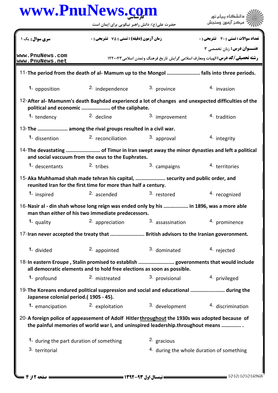| www.PnuNews.com                          | حضرت علی(ع): دانش راهبر نیکویی برای ایمان است                                                                                                                  |                                                                                 | . دانشگاه پیام نور<br>' مرڪز آزمون وسنڊش |  |
|------------------------------------------|----------------------------------------------------------------------------------------------------------------------------------------------------------------|---------------------------------------------------------------------------------|------------------------------------------|--|
| <b>سری سوال :</b> یک ۱                   |                                                                                                                                                                | <b>زمان آزمون (دقیقه) : تستی : 75 تشریحی : 0</b>                                |                                          |  |
| www.PnuNews.com<br>www.PnuNews.net       | <b>رشته تحصیلی/کد درس: ال</b> هیات ومعارف اسلامی گرایش تاریخ فرهنگ وتمدن اسلامی ۱۲۲۰۰۴۳                                                                        |                                                                                 | <b>عنـــوان درس:</b> زبان تخصصی ۳        |  |
|                                          | 11- The period from the death of al- Mamum up to the Mongol  falls into three periods.                                                                         |                                                                                 |                                          |  |
| 1. opposition                            | <sup>2.</sup> independence                                                                                                                                     | 3. province                                                                     | 4. invasion                              |  |
|                                          | 12-After al-Mamunm's death Baghdad experiencd a lot of changes and unexpected difficulties of the<br>political and economic  of the caliphate.                 |                                                                                 |                                          |  |
| 1. tendency                              | <sup>2.</sup> decline                                                                                                                                          | 3. improvement                                                                  | 4. tradition                             |  |
|                                          | 13-The  among the rival groups resulted in a civil war.                                                                                                        |                                                                                 |                                          |  |
| 1. dissention                            | <sup>2.</sup> reconciliation                                                                                                                                   | 3. approval                                                                     | 4. integrity                             |  |
|                                          | 14- The devastating  of Timur in Iran swept away the minor dynasties and left a political<br>and social vaccuum from the oxus to the Euphrates.                |                                                                                 |                                          |  |
| 1. descentants                           | <sup>2</sup> tribes                                                                                                                                            | 3. campaigns                                                                    | 4. territories                           |  |
|                                          | 15-Aka Muhhamad shah made tehran his capital,  security and public order, and<br>reunited Iran for the first time for more than half a century.                |                                                                                 |                                          |  |
| 1. inspired                              | <sup>2.</sup> ascended                                                                                                                                         | 3. restored                                                                     | 4. recognized                            |  |
|                                          | 16-Nasir al - din shah whose long reign was ended only by his  in 1896, was a more able<br>man than either of his two immediate predecessors.                  |                                                                                 |                                          |  |
| 1. quality                               | 2. appreciation                                                                                                                                                | 3. assassination                                                                | 4. prominence                            |  |
|                                          | 17-Iran never accepted the treaty that  British advisors to the Iranian goveronment.                                                                           |                                                                                 |                                          |  |
| 1. divided                               | 2. appointed                                                                                                                                                   | 3. dominated                                                                    | 4. rejected                              |  |
|                                          | 18-In eastern Eroupe, Stalin promised to establish  goveronments that would include<br>all democratic elements and to hold free elections as soon as possible. |                                                                                 |                                          |  |
| 1. profound                              | 2. mistreated                                                                                                                                                  | 3. provisional                                                                  | 4. privileged                            |  |
| Japanese colonial period.(1905 - 45).    | 19-The Koreans endured political suppression and social and educational  during the                                                                            |                                                                                 |                                          |  |
| 1. emancipation                          | 2. exploitation                                                                                                                                                | 3. development                                                                  | 4. discrimination                        |  |
|                                          | 20-A foreign police of appeasement of Adolf Hitler throughout the 1930s was adopted because of                                                                 | the painful memories of world war I, and uninspired leadership.throughout means |                                          |  |
|                                          |                                                                                                                                                                |                                                                                 |                                          |  |
| 1. during the part duration of something |                                                                                                                                                                | 2. gracious                                                                     |                                          |  |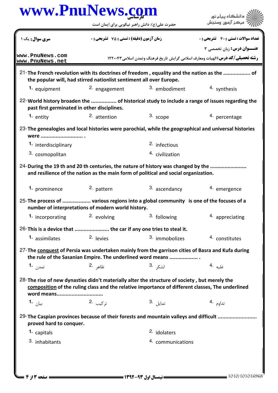| <b>زمان آزمون (دقیقه) : تستی : 75 ٪ تشریحی : 0</b><br><b>سری سوال :</b> یک ۱<br>www.PnuNews.com<br><b>رشته تحصیلی/کد درس: ال</b> هیات ومعارف اسلامی گرایش تاریخ فرهنگ وتمدن اسلامی ۱۲۲۰۰۴۳<br>www.PnuNews.net<br>21-The French revolution with its doctrines of freedom, equality and the nation as the  of<br>the popular will, had stirred nationlist sentiment all over Europe.<br>2. engagement<br>3. embodiment<br>4. synthesis<br>1. equipment<br>22- World history broaden the  of historical study to include a range of issues regarding the<br>past first germinated in other disciplines.<br>3. scope<br><sup>2.</sup> attention<br>4. percentage<br>1. entity<br>23-The genealogies and local histories were parochial, while the geographical and universal histories<br>were<br>2. infectious<br>1. interdisciplinary<br>3. cosmopolitan<br>4. civilization<br>24-During the 19 th and 20 th centuries, the nature of history was changed by the<br>and resilience of the nation as the main form of political and social organization.<br>3. ascendancy<br>1. prominence<br>2. pattern<br>4. emergence<br>25-The process of  various regions into a global community is one of the focuses of a<br>number of interpretations of modern world history.<br>2. evolving<br>4. appreciating<br>3. following<br>1. incorporating<br>26-This is a device that  the car if any one tries to steal it.<br>2. levies<br>3. immobolizes<br>1. assimilates<br>4. constitutes<br>27-The conquest of Persia was undertaken mainly from the garrison cities of Basra and Kufa during<br>the rule of the Sasanian Empire. The underlined word means<br>ظاهر .2<br>تمد <sub>ن</sub> <b>1.</b><br>3. لشك <sub>ر</sub><br>غلبه 4.<br>28-The rise of new dynasties didn't materially alter the structure of society, but merely the<br>composition of the ruling class and the relative importance of different classes, The underlined<br>word means<br>ت <sub>ر كىب</sub> .2<br>تمايل <sup>.3</sup><br>تداوم .4<br>بيان <b>1.</b><br>29-The Caspian provinces because of their forests and mountain valleys and difficult<br>proved hard to conquer.<br>2. idolaters<br>1. capitals<br>3. inhabitants<br>4. communications | حضرت علی(ع): دانش راهبر نیکویی برای ایمان است |  |                                              |  |
|--------------------------------------------------------------------------------------------------------------------------------------------------------------------------------------------------------------------------------------------------------------------------------------------------------------------------------------------------------------------------------------------------------------------------------------------------------------------------------------------------------------------------------------------------------------------------------------------------------------------------------------------------------------------------------------------------------------------------------------------------------------------------------------------------------------------------------------------------------------------------------------------------------------------------------------------------------------------------------------------------------------------------------------------------------------------------------------------------------------------------------------------------------------------------------------------------------------------------------------------------------------------------------------------------------------------------------------------------------------------------------------------------------------------------------------------------------------------------------------------------------------------------------------------------------------------------------------------------------------------------------------------------------------------------------------------------------------------------------------------------------------------------------------------------------------------------------------------------------------------------------------------------------------------------------------------------------------------------------------------------------------------------------------------------------------------------------------------------------------------------------------------------------------------------------------------------------------------------|-----------------------------------------------|--|----------------------------------------------|--|
|                                                                                                                                                                                                                                                                                                                                                                                                                                                                                                                                                                                                                                                                                                                                                                                                                                                                                                                                                                                                                                                                                                                                                                                                                                                                                                                                                                                                                                                                                                                                                                                                                                                                                                                                                                                                                                                                                                                                                                                                                                                                                                                                                                                                                          |                                               |  | <b>تعداد سوالات : تستي : 30 ٪ تشريحي : 0</b> |  |
|                                                                                                                                                                                                                                                                                                                                                                                                                                                                                                                                                                                                                                                                                                                                                                                                                                                                                                                                                                                                                                                                                                                                                                                                                                                                                                                                                                                                                                                                                                                                                                                                                                                                                                                                                                                                                                                                                                                                                                                                                                                                                                                                                                                                                          |                                               |  | <b>عنــوان درس:</b> زبان تخصصی ۳             |  |
|                                                                                                                                                                                                                                                                                                                                                                                                                                                                                                                                                                                                                                                                                                                                                                                                                                                                                                                                                                                                                                                                                                                                                                                                                                                                                                                                                                                                                                                                                                                                                                                                                                                                                                                                                                                                                                                                                                                                                                                                                                                                                                                                                                                                                          |                                               |  |                                              |  |
|                                                                                                                                                                                                                                                                                                                                                                                                                                                                                                                                                                                                                                                                                                                                                                                                                                                                                                                                                                                                                                                                                                                                                                                                                                                                                                                                                                                                                                                                                                                                                                                                                                                                                                                                                                                                                                                                                                                                                                                                                                                                                                                                                                                                                          |                                               |  |                                              |  |
|                                                                                                                                                                                                                                                                                                                                                                                                                                                                                                                                                                                                                                                                                                                                                                                                                                                                                                                                                                                                                                                                                                                                                                                                                                                                                                                                                                                                                                                                                                                                                                                                                                                                                                                                                                                                                                                                                                                                                                                                                                                                                                                                                                                                                          |                                               |  |                                              |  |
|                                                                                                                                                                                                                                                                                                                                                                                                                                                                                                                                                                                                                                                                                                                                                                                                                                                                                                                                                                                                                                                                                                                                                                                                                                                                                                                                                                                                                                                                                                                                                                                                                                                                                                                                                                                                                                                                                                                                                                                                                                                                                                                                                                                                                          |                                               |  |                                              |  |
|                                                                                                                                                                                                                                                                                                                                                                                                                                                                                                                                                                                                                                                                                                                                                                                                                                                                                                                                                                                                                                                                                                                                                                                                                                                                                                                                                                                                                                                                                                                                                                                                                                                                                                                                                                                                                                                                                                                                                                                                                                                                                                                                                                                                                          |                                               |  |                                              |  |
|                                                                                                                                                                                                                                                                                                                                                                                                                                                                                                                                                                                                                                                                                                                                                                                                                                                                                                                                                                                                                                                                                                                                                                                                                                                                                                                                                                                                                                                                                                                                                                                                                                                                                                                                                                                                                                                                                                                                                                                                                                                                                                                                                                                                                          |                                               |  |                                              |  |
|                                                                                                                                                                                                                                                                                                                                                                                                                                                                                                                                                                                                                                                                                                                                                                                                                                                                                                                                                                                                                                                                                                                                                                                                                                                                                                                                                                                                                                                                                                                                                                                                                                                                                                                                                                                                                                                                                                                                                                                                                                                                                                                                                                                                                          |                                               |  |                                              |  |
|                                                                                                                                                                                                                                                                                                                                                                                                                                                                                                                                                                                                                                                                                                                                                                                                                                                                                                                                                                                                                                                                                                                                                                                                                                                                                                                                                                                                                                                                                                                                                                                                                                                                                                                                                                                                                                                                                                                                                                                                                                                                                                                                                                                                                          |                                               |  |                                              |  |
|                                                                                                                                                                                                                                                                                                                                                                                                                                                                                                                                                                                                                                                                                                                                                                                                                                                                                                                                                                                                                                                                                                                                                                                                                                                                                                                                                                                                                                                                                                                                                                                                                                                                                                                                                                                                                                                                                                                                                                                                                                                                                                                                                                                                                          |                                               |  |                                              |  |
|                                                                                                                                                                                                                                                                                                                                                                                                                                                                                                                                                                                                                                                                                                                                                                                                                                                                                                                                                                                                                                                                                                                                                                                                                                                                                                                                                                                                                                                                                                                                                                                                                                                                                                                                                                                                                                                                                                                                                                                                                                                                                                                                                                                                                          |                                               |  |                                              |  |
|                                                                                                                                                                                                                                                                                                                                                                                                                                                                                                                                                                                                                                                                                                                                                                                                                                                                                                                                                                                                                                                                                                                                                                                                                                                                                                                                                                                                                                                                                                                                                                                                                                                                                                                                                                                                                                                                                                                                                                                                                                                                                                                                                                                                                          |                                               |  |                                              |  |
|                                                                                                                                                                                                                                                                                                                                                                                                                                                                                                                                                                                                                                                                                                                                                                                                                                                                                                                                                                                                                                                                                                                                                                                                                                                                                                                                                                                                                                                                                                                                                                                                                                                                                                                                                                                                                                                                                                                                                                                                                                                                                                                                                                                                                          |                                               |  |                                              |  |
|                                                                                                                                                                                                                                                                                                                                                                                                                                                                                                                                                                                                                                                                                                                                                                                                                                                                                                                                                                                                                                                                                                                                                                                                                                                                                                                                                                                                                                                                                                                                                                                                                                                                                                                                                                                                                                                                                                                                                                                                                                                                                                                                                                                                                          |                                               |  |                                              |  |
|                                                                                                                                                                                                                                                                                                                                                                                                                                                                                                                                                                                                                                                                                                                                                                                                                                                                                                                                                                                                                                                                                                                                                                                                                                                                                                                                                                                                                                                                                                                                                                                                                                                                                                                                                                                                                                                                                                                                                                                                                                                                                                                                                                                                                          |                                               |  |                                              |  |
|                                                                                                                                                                                                                                                                                                                                                                                                                                                                                                                                                                                                                                                                                                                                                                                                                                                                                                                                                                                                                                                                                                                                                                                                                                                                                                                                                                                                                                                                                                                                                                                                                                                                                                                                                                                                                                                                                                                                                                                                                                                                                                                                                                                                                          |                                               |  |                                              |  |
|                                                                                                                                                                                                                                                                                                                                                                                                                                                                                                                                                                                                                                                                                                                                                                                                                                                                                                                                                                                                                                                                                                                                                                                                                                                                                                                                                                                                                                                                                                                                                                                                                                                                                                                                                                                                                                                                                                                                                                                                                                                                                                                                                                                                                          |                                               |  |                                              |  |
|                                                                                                                                                                                                                                                                                                                                                                                                                                                                                                                                                                                                                                                                                                                                                                                                                                                                                                                                                                                                                                                                                                                                                                                                                                                                                                                                                                                                                                                                                                                                                                                                                                                                                                                                                                                                                                                                                                                                                                                                                                                                                                                                                                                                                          |                                               |  |                                              |  |
|                                                                                                                                                                                                                                                                                                                                                                                                                                                                                                                                                                                                                                                                                                                                                                                                                                                                                                                                                                                                                                                                                                                                                                                                                                                                                                                                                                                                                                                                                                                                                                                                                                                                                                                                                                                                                                                                                                                                                                                                                                                                                                                                                                                                                          |                                               |  |                                              |  |
|                                                                                                                                                                                                                                                                                                                                                                                                                                                                                                                                                                                                                                                                                                                                                                                                                                                                                                                                                                                                                                                                                                                                                                                                                                                                                                                                                                                                                                                                                                                                                                                                                                                                                                                                                                                                                                                                                                                                                                                                                                                                                                                                                                                                                          |                                               |  |                                              |  |
|                                                                                                                                                                                                                                                                                                                                                                                                                                                                                                                                                                                                                                                                                                                                                                                                                                                                                                                                                                                                                                                                                                                                                                                                                                                                                                                                                                                                                                                                                                                                                                                                                                                                                                                                                                                                                                                                                                                                                                                                                                                                                                                                                                                                                          |                                               |  |                                              |  |